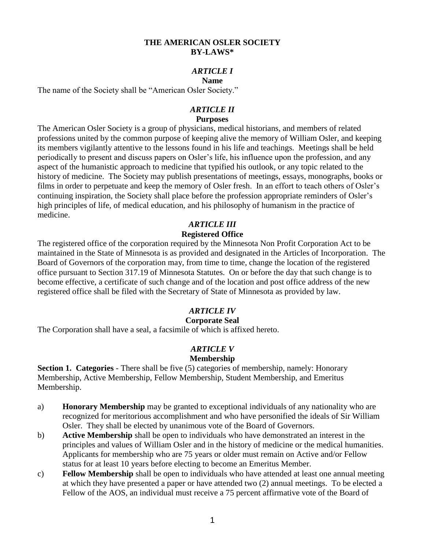### **THE AMERICAN OSLER SOCIETY BY-LAWS\***

### *ARTICLE I*

#### **Name**

The name of the Society shall be "American Osler Society."

#### *ARTICLE II* **Purposes**

The American Osler Society is a group of physicians, medical historians, and members of related professions united by the common purpose of keeping alive the memory of William Osler, and keeping its members vigilantly attentive to the lessons found in his life and teachings. Meetings shall be held periodically to present and discuss papers on Osler's life, his influence upon the profession, and any aspect of the humanistic approach to medicine that typified his outlook, or any topic related to the history of medicine. The Society may publish presentations of meetings, essays, monographs, books or films in order to perpetuate and keep the memory of Osler fresh. In an effort to teach others of Osler's continuing inspiration, the Society shall place before the profession appropriate reminders of Osler's high principles of life, of medical education, and his philosophy of humanism in the practice of medicine.

### *ARTICLE III*

### **Registered Office**

The registered office of the corporation required by the Minnesota Non Profit Corporation Act to be maintained in the State of Minnesota is as provided and designated in the Articles of Incorporation. The Board of Governors of the corporation may, from time to time, change the location of the registered office pursuant to Section 317.19 of Minnesota Statutes. On or before the day that such change is to become effective, a certificate of such change and of the location and post office address of the new registered office shall be filed with the Secretary of State of Minnesota as provided by law.

### *ARTICLE IV*

### **Corporate Seal**

The Corporation shall have a seal, a facsimile of which is affixed hereto.

#### *ARTICLE V* **Membership**

**Section 1. Categories** - There shall be five (5) categories of membership, namely: Honorary Membership, Active Membership, Fellow Membership, Student Membership, and Emeritus Membership.

- a) **Honorary Membership** may be granted to exceptional individuals of any nationality who are recognized for meritorious accomplishment and who have personified the ideals of Sir William Osler. They shall be elected by unanimous vote of the Board of Governors.
- b) **Active Membership** shall be open to individuals who have demonstrated an interest in the principles and values of William Osler and in the history of medicine or the medical humanities. Applicants for membership who are 75 years or older must remain on Active and/or Fellow status for at least 10 years before electing to become an Emeritus Member.
- c) **Fellow Membership** shall be open to individuals who have attended at least one annual meeting at which they have presented a paper or have attended two (2) annual meetings. To be elected a Fellow of the AOS, an individual must receive a 75 percent affirmative vote of the Board of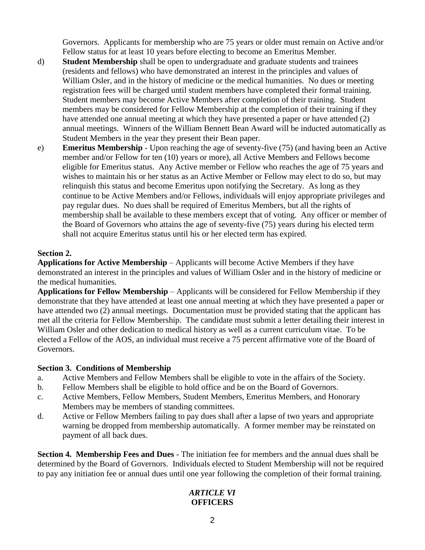Governors. Applicants for membership who are 75 years or older must remain on Active and/or Fellow status for at least 10 years before electing to become an Emeritus Member.

- d) **Student Membership** shall be open to undergraduate and graduate students and trainees (residents and fellows) who have demonstrated an interest in the principles and values of William Osler, and in the history of medicine or the medical humanities. No dues or meeting registration fees will be charged until student members have completed their formal training. Student members may become Active Members after completion of their training. Student members may be considered for Fellow Membership at the completion of their training if they have attended one annual meeting at which they have presented a paper or have attended (2) annual meetings. Winners of the William Bennett Bean Award will be inducted automatically as Student Members in the year they present their Bean paper.
- e) **Emeritus Membership** Upon reaching the age of seventy-five (75) (and having been an Active member and/or Fellow for ten (10) years or more), all Active Members and Fellows become eligible for Emeritus status. Any Active member or Fellow who reaches the age of 75 years and wishes to maintain his or her status as an Active Member or Fellow may elect to do so, but may relinquish this status and become Emeritus upon notifying the Secretary. As long as they continue to be Active Members and/or Fellows, individuals will enjoy appropriate privileges and pay regular dues. No dues shall be required of Emeritus Members, but all the rights of membership shall be available to these members except that of voting. Any officer or member of the Board of Governors who attains the age of seventy-five (75) years during his elected term shall not acquire Emeritus status until his or her elected term has expired.

### **Section 2.**

**Applications for Active Membership** – Applicants will become Active Members if they have demonstrated an interest in the principles and values of William Osler and in the history of medicine or the medical humanities.

**Applications for Fellow Membership** – Applicants will be considered for Fellow Membership if they demonstrate that they have attended at least one annual meeting at which they have presented a paper or have attended two (2) annual meetings. Documentation must be provided stating that the applicant has met all the criteria for Fellow Membership. The candidate must submit a letter detailing their interest in William Osler and other dedication to medical history as well as a current curriculum vitae. To be elected a Fellow of the AOS, an individual must receive a 75 percent affirmative vote of the Board of Governors.

### **Section 3. Conditions of Membership**

- a. Active Members and Fellow Members shall be eligible to vote in the affairs of the Society.
- b. Fellow Members shall be eligible to hold office and be on the Board of Governors.
- c. Active Members, Fellow Members, Student Members, Emeritus Members, and Honorary Members may be members of standing committees.
- d. Active or Fellow Members failing to pay dues shall after a lapse of two years and appropriate warning be dropped from membership automatically. A former member may be reinstated on payment of all back dues.

**Section 4. Membership Fees and Dues** - The initiation fee for members and the annual dues shall be determined by the Board of Governors. Individuals elected to Student Membership will not be required to pay any initiation fee or annual dues until one year following the completion of their formal training.

### *ARTICLE VI* **OFFICERS**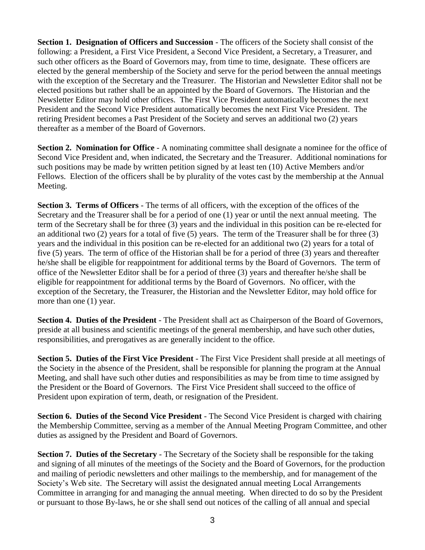**Section 1. Designation of Officers and Succession** - The officers of the Society shall consist of the following: a President, a First Vice President, a Second Vice President, a Secretary, a Treasurer, and such other officers as the Board of Governors may, from time to time, designate. These officers are elected by the general membership of the Society and serve for the period between the annual meetings with the exception of the Secretary and the Treasurer. The Historian and Newsletter Editor shall not be elected positions but rather shall be an appointed by the Board of Governors. The Historian and the Newsletter Editor may hold other offices. The First Vice President automatically becomes the next President and the Second Vice President automatically becomes the next First Vice President. The retiring President becomes a Past President of the Society and serves an additional two (2) years thereafter as a member of the Board of Governors.

**Section 2. Nomination for Office** - A nominating committee shall designate a nominee for the office of Second Vice President and, when indicated, the Secretary and the Treasurer. Additional nominations for such positions may be made by written petition signed by at least ten (10) Active Members and/or Fellows. Election of the officers shall be by plurality of the votes cast by the membership at the Annual Meeting.

**Section 3. Terms of Officers** - The terms of all officers, with the exception of the offices of the Secretary and the Treasurer shall be for a period of one (1) year or until the next annual meeting. The term of the Secretary shall be for three (3) years and the individual in this position can be re-elected for an additional two (2) years for a total of five (5) years. The term of the Treasurer shall be for three (3) years and the individual in this position can be re-elected for an additional two (2) years for a total of five (5) years. The term of office of the Historian shall be for a period of three (3) years and thereafter he/she shall be eligible for reappointment for additional terms by the Board of Governors. The term of office of the Newsletter Editor shall be for a period of three (3) years and thereafter he/she shall be eligible for reappointment for additional terms by the Board of Governors. No officer, with the exception of the Secretary, the Treasurer, the Historian and the Newsletter Editor, may hold office for more than one (1) year.

**Section 4. Duties of the President** - The President shall act as Chairperson of the Board of Governors, preside at all business and scientific meetings of the general membership, and have such other duties, responsibilities, and prerogatives as are generally incident to the office.

**Section 5. Duties of the First Vice President** - The First Vice President shall preside at all meetings of the Society in the absence of the President, shall be responsible for planning the program at the Annual Meeting, and shall have such other duties and responsibilities as may be from time to time assigned by the President or the Board of Governors. The First Vice President shall succeed to the office of President upon expiration of term, death, or resignation of the President.

**Section 6. Duties of the Second Vice President** - The Second Vice President is charged with chairing the Membership Committee, serving as a member of the Annual Meeting Program Committee, and other duties as assigned by the President and Board of Governors.

**Section 7. Duties of the Secretary** - The Secretary of the Society shall be responsible for the taking and signing of all minutes of the meetings of the Society and the Board of Governors, for the production and mailing of periodic newsletters and other mailings to the membership, and for management of the Society's Web site. The Secretary will assist the designated annual meeting Local Arrangements Committee in arranging for and managing the annual meeting. When directed to do so by the President or pursuant to those By-laws, he or she shall send out notices of the calling of all annual and special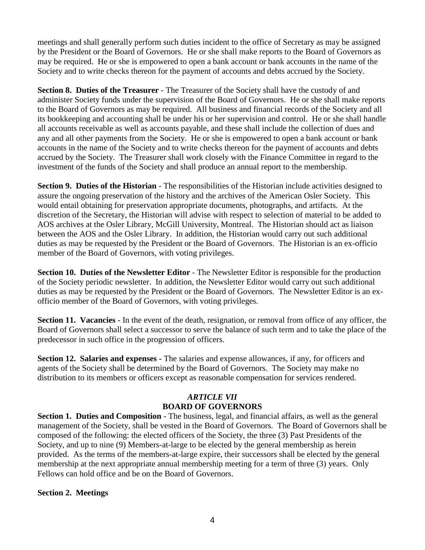meetings and shall generally perform such duties incident to the office of Secretary as may be assigned by the President or the Board of Governors. He or she shall make reports to the Board of Governors as may be required. He or she is empowered to open a bank account or bank accounts in the name of the Society and to write checks thereon for the payment of accounts and debts accrued by the Society.

**Section 8. Duties of the Treasurer** - The Treasurer of the Society shall have the custody of and administer Society funds under the supervision of the Board of Governors. He or she shall make reports to the Board of Governors as may be required. All business and financial records of the Society and all its bookkeeping and accounting shall be under his or her supervision and control. He or she shall handle all accounts receivable as well as accounts payable, and these shall include the collection of dues and any and all other payments from the Society. He or she is empowered to open a bank account or bank accounts in the name of the Society and to write checks thereon for the payment of accounts and debts accrued by the Society. The Treasurer shall work closely with the Finance Committee in regard to the investment of the funds of the Society and shall produce an annual report to the membership.

**Section 9. Duties of the Historian** - The responsibilities of the Historian include activities designed to assure the ongoing preservation of the history and the archives of the American Osler Society. This would entail obtaining for preservation appropriate documents, photographs, and artifacts. At the discretion of the Secretary, the Historian will advise with respect to selection of material to be added to AOS archives at the Osler Library, McGill University, Montreal. The Historian should act as liaison between the AOS and the Osler Library. In addition, the Historian would carry out such additional duties as may be requested by the President or the Board of Governors. The Historian is an ex-officio member of the Board of Governors, with voting privileges.

**Section 10. Duties of the Newsletter Editor** - The Newsletter Editor is responsible for the production of the Society periodic newsletter. In addition, the Newsletter Editor would carry out such additional duties as may be requested by the President or the Board of Governors. The Newsletter Editor is an exofficio member of the Board of Governors, with voting privileges.

**Section 11. Vacancies** - In the event of the death, resignation, or removal from office of any officer, the Board of Governors shall select a successor to serve the balance of such term and to take the place of the predecessor in such office in the progression of officers.

**Section 12. Salaries and expenses -** The salaries and expense allowances, if any, for officers and agents of the Society shall be determined by the Board of Governors. The Society may make no distribution to its members or officers except as reasonable compensation for services rendered.

### *ARTICLE VII* **BOARD OF GOVERNORS**

**Section 1. Duties and Composition** - The business, legal, and financial affairs, as well as the general management of the Society, shall be vested in the Board of Governors. The Board of Governors shall be composed of the following: the elected officers of the Society, the three (3) Past Presidents of the Society, and up to nine (9) Members-at-large to be elected by the general membership as herein provided. As the terms of the members-at-large expire, their successors shall be elected by the general membership at the next appropriate annual membership meeting for a term of three (3) years. Only Fellows can hold office and be on the Board of Governors.

### **Section 2. Meetings**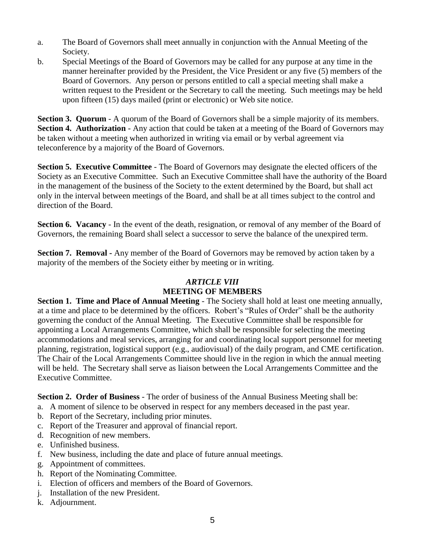- a. The Board of Governors shall meet annually in conjunction with the Annual Meeting of the Society.
- b. Special Meetings of the Board of Governors may be called for any purpose at any time in the manner hereinafter provided by the President, the Vice President or any five (5) members of the Board of Governors. Any person or persons entitled to call a special meeting shall make a written request to the President or the Secretary to call the meeting. Such meetings may be held upon fifteen (15) days mailed (print or electronic) or Web site notice.

**Section 3. Quorum** - A quorum of the Board of Governors shall be a simple majority of its members. **Section 4. Authorization** - Any action that could be taken at a meeting of the Board of Governors may be taken without a meeting when authorized in writing via email or by verbal agreement via teleconference by a majority of the Board of Governors.

**Section 5. Executive Committee** - The Board of Governors may designate the elected officers of the Society as an Executive Committee. Such an Executive Committee shall have the authority of the Board in the management of the business of the Society to the extent determined by the Board, but shall act only in the interval between meetings of the Board, and shall be at all times subject to the control and direction of the Board.

**Section 6. Vacancy** - In the event of the death, resignation, or removal of any member of the Board of Governors, the remaining Board shall select a successor to serve the balance of the unexpired term.

**Section 7. Removal -** Any member of the Board of Governors may be removed by action taken by a majority of the members of the Society either by meeting or in writing.

#### *ARTICLE VIII* **MEETING OF MEMBERS**

**Section 1. Time and Place of Annual Meeting** - The Society shall hold at least one meeting annually, at a time and place to be determined by the officers. Robert's "Rules of Order" shall be the authority governing the conduct of the Annual Meeting. The Executive Committee shall be responsible for appointing a Local Arrangements Committee, which shall be responsible for selecting the meeting accommodations and meal services, arranging for and coordinating local support personnel for meeting planning, registration, logistical support (e.g., audiovisual) of the daily program, and CME certification. The Chair of the Local Arrangements Committee should live in the region in which the annual meeting will be held. The Secretary shall serve as liaison between the Local Arrangements Committee and the Executive Committee.

**Section 2. Order of Business** - The order of business of the Annual Business Meeting shall be:

- a. A moment of silence to be observed in respect for any members deceased in the past year.
- b. Report of the Secretary, including prior minutes.
- c. Report of the Treasurer and approval of financial report.
- d. Recognition of new members.
- e. Unfinished business.
- f. New business, including the date and place of future annual meetings.
- g. Appointment of committees.
- h. Report of the Nominating Committee.
- i. Election of officers and members of the Board of Governors.
- j. Installation of the new President.
- k. Adjournment.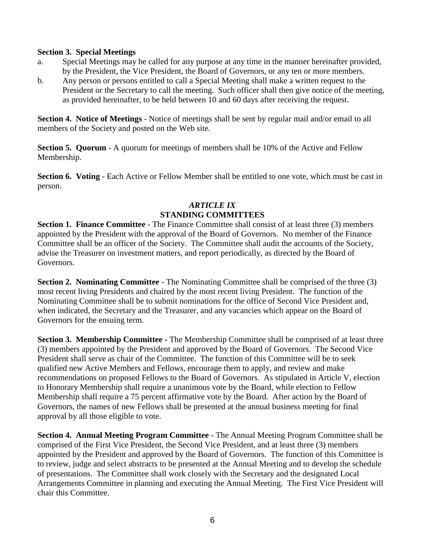### **Section 3. Special Meetings**

- a. Special Meetings may be called for any purpose at any time in the manner hereinafter provided, by the President, the Vice President, the Board of Governors, or any ten or more members.
- b. Any person or persons entitled to call a Special Meeting shall make a written request to the President or the Secretary to call the meeting. Such officer shall then give notice of the meeting, as provided hereinafter, to be held between 10 and 60 days after receiving the request.

**Section 4. Notice of Meetings** - Notice of meetings shall be sent by regular mail and/or email to all members of the Society and posted on the Web site.

**Section 5. Quorum** - A quorum for meetings of members shall be 10% of the Active and Fellow Membership.

**Section 6. Voting** - Each Active or Fellow Member shall be entitled to one vote, which must be cast in person.

### *ARTICLE IX* **STANDING COMMITTEES**

**Section 1. Finance Committee** - The Finance Committee shall consist of at least three (3) members appointed by the President with the approval of the Board of Governors. No member of the Finance Committee shall be an officer of the Society. The Committee shall audit the accounts of the Society, advise the Treasurer on investment matters, and report periodically, as directed by the Board of Governors.

**Section 2. Nominating Committee** - The Nominating Committee shall be comprised of the three (3) most recent living Presidents and chaired by the most recent living President. The function of the Nominating Committee shall be to submit nominations for the office of Second Vice President and, when indicated, the Secretary and the Treasurer, and any vacancies which appear on the Board of Governors for the ensuing term.

**Section 3. Membership Committee -** The Membership Committee shall be comprised of at least three (3) members appointed by the President and approved by the Board of Governors. The Second Vice President shall serve as chair of the Committee. The function of this Committee will be to seek qualified new Active Members and Fellows, encourage them to apply, and review and make recommendations on proposed Fellows to the Board of Governors. As stipulated in Article V, election to Honorary Membership shall require a unanimous vote by the Board, while election to Fellow Membership shall require a 75 percent affirmative vote by the Board. After action by the Board of Governors, the names of new Fellows shall be presented at the annual business meeting for final approval by all those eligible to vote.

**Section 4. Annual Meeting Program Committee -** The Annual Meeting Program Committee shall be comprised of the First Vice President, the Second Vice President, and at least three (3) members appointed by the President and approved by the Board of Governors. The function of this Committee is to review, judge and select abstracts to be presented at the Annual Meeting and to develop the schedule of presentations. The Committee shall work closely with the Secretary and the designated Local Arrangements Committee in planning and executing the Annual Meeting. The First Vice President will chair this Committee.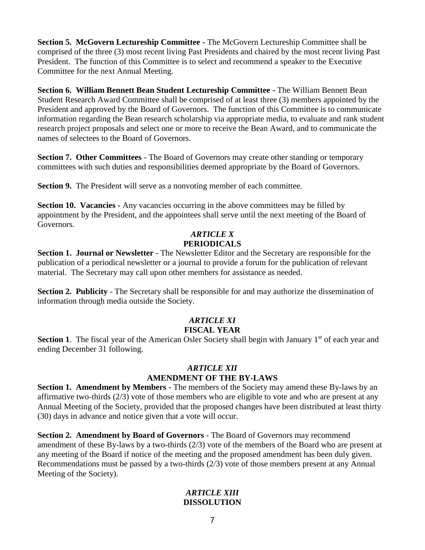**Section 5. McGovern Lectureship Committee -** The McGovern Lectureship Committee shall be comprised of the three (3) most recent living Past Presidents and chaired by the most recent living Past President. The function of this Committee is to select and recommend a speaker to the Executive Committee for the next Annual Meeting.

**Section 6. William Bennett Bean Student Lectureship Committee -** The William Bennett Bean Student Research Award Committee shall be comprised of at least three (3) members appointed by the President and approved by the Board of Governors. The function of this Committee is to communicate information regarding the Bean research scholarship via appropriate media, to evaluate and rank student research project proposals and select one or more to receive the Bean Award, and to communicate the names of selectees to the Board of Governors.

**Section 7. Other Committees** - The Board of Governors may create other standing or temporary committees with such duties and responsibilities deemed appropriate by the Board of Governors.

**Section 9.** The President will serve as a nonvoting member of each committee.

**Section 10. Vacancies -** Any vacancies occurring in the above committees may be filled by appointment by the President, and the appointees shall serve until the next meeting of the Board of Governors.

### *ARTICLE X* **PERIODICALS**

**Section 1. Journal or Newsletter** - The Newsletter Editor and the Secretary are responsible for the publication of a periodical newsletter or a journal to provide a forum for the publication of relevant material. The Secretary may call upon other members for assistance as needed.

**Section 2. Publicity** - The Secretary shall be responsible for and may authorize the dissemination of information through media outside the Society.

# *ARTICLE XI*

### **FISCAL YEAR**

**Section 1.** The fiscal year of the American Osler Society shall begin with January 1<sup>st</sup> of each year and ending December 31 following.

## *ARTICLE XII*

### **AMENDMENT OF THE BY-LAWS**

**Section 1. Amendment by Members** - The members of the Society may amend these By-laws by an affirmative two-thirds (2/3) vote of those members who are eligible to vote and who are present at any Annual Meeting of the Society, provided that the proposed changes have been distributed at least thirty (30) days in advance and notice given that a vote will occur.

**Section 2. Amendment by Board of Governors** - The Board of Governors may recommend amendment of these By-laws by a two-thirds (2/3) vote of the members of the Board who are present at any meeting of the Board if notice of the meeting and the proposed amendment has been duly given. Recommendations must be passed by a two-thirds (2/3) vote of those members present at any Annual Meeting of the Society).

### *ARTICLE XIII* **DISSOLUTION**